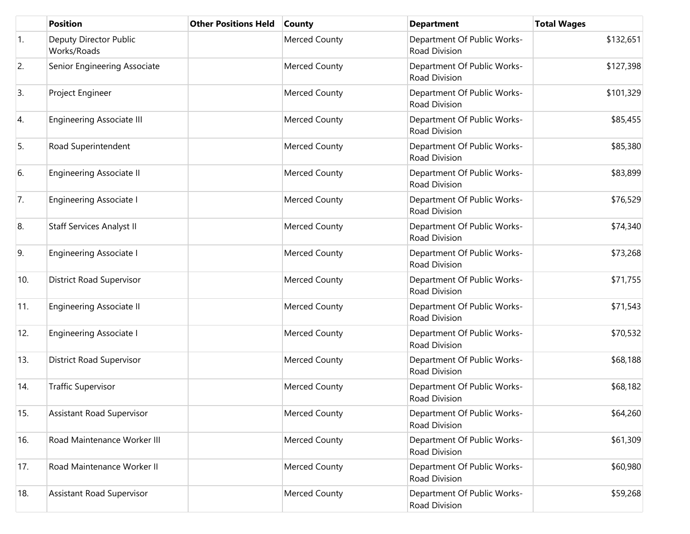|     | <b>Position</b>                       | <b>Other Positions Held</b> | <b>County</b>        | <b>Department</b>                            | <b>Total Wages</b> |
|-----|---------------------------------------|-----------------------------|----------------------|----------------------------------------------|--------------------|
| 1.  | Deputy Director Public<br>Works/Roads |                             | <b>Merced County</b> | Department Of Public Works-<br>Road Division | \$132,651          |
| 2.  | Senior Engineering Associate          |                             | Merced County        | Department Of Public Works-<br>Road Division | \$127,398          |
| 3.  | Project Engineer                      |                             | Merced County        | Department Of Public Works-<br>Road Division | \$101,329          |
| 4.  | <b>Engineering Associate III</b>      |                             | Merced County        | Department Of Public Works-<br>Road Division | \$85,455           |
| 5.  | Road Superintendent                   |                             | <b>Merced County</b> | Department Of Public Works-<br>Road Division | \$85,380           |
| 6.  | <b>Engineering Associate II</b>       |                             | <b>Merced County</b> | Department Of Public Works-<br>Road Division | \$83,899           |
| 7.  | <b>Engineering Associate I</b>        |                             | <b>Merced County</b> | Department Of Public Works-<br>Road Division | \$76,529           |
| 8.  | Staff Services Analyst II             |                             | <b>Merced County</b> | Department Of Public Works-<br>Road Division | \$74,340           |
| 9.  | Engineering Associate I               |                             | <b>Merced County</b> | Department Of Public Works-<br>Road Division | \$73,268           |
| 10. | <b>District Road Supervisor</b>       |                             | <b>Merced County</b> | Department Of Public Works-<br>Road Division | \$71,755           |
| 11. | Engineering Associate II              |                             | Merced County        | Department Of Public Works-<br>Road Division | \$71,543           |
| 12. | <b>Engineering Associate I</b>        |                             | <b>Merced County</b> | Department Of Public Works-<br>Road Division | \$70,532           |
| 13. | <b>District Road Supervisor</b>       |                             | Merced County        | Department Of Public Works-<br>Road Division | \$68,188           |
| 14. | <b>Traffic Supervisor</b>             |                             | <b>Merced County</b> | Department Of Public Works-<br>Road Division | \$68,182           |
| 15. | <b>Assistant Road Supervisor</b>      |                             | <b>Merced County</b> | Department Of Public Works-<br>Road Division | \$64,260           |
| 16. | Road Maintenance Worker III           |                             | Merced County        | Department Of Public Works-<br>Road Division | \$61,309           |
| 17. | Road Maintenance Worker II            |                             | <b>Merced County</b> | Department Of Public Works-<br>Road Division | \$60,980           |
| 18. | <b>Assistant Road Supervisor</b>      |                             | <b>Merced County</b> | Department Of Public Works-<br>Road Division | \$59,268           |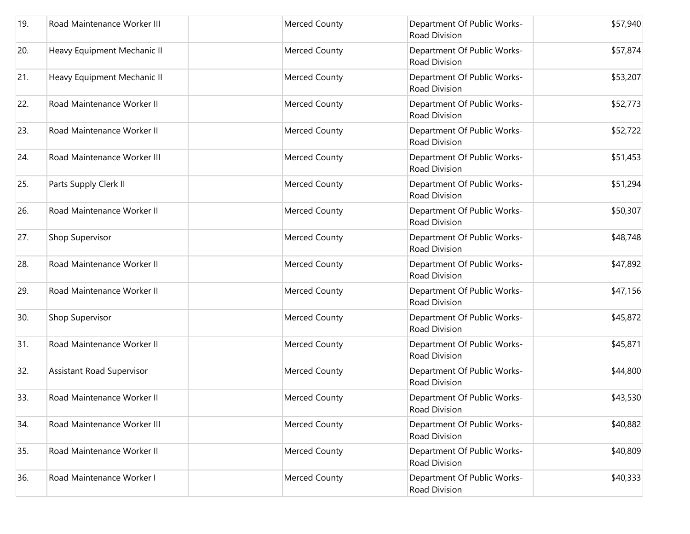| 19. | Road Maintenance Worker III | <b>Merced County</b> | Department Of Public Works-<br>Road Division        | \$57,940 |
|-----|-----------------------------|----------------------|-----------------------------------------------------|----------|
| 20. | Heavy Equipment Mechanic II | <b>Merced County</b> | Department Of Public Works-<br>Road Division        | \$57,874 |
| 21. | Heavy Equipment Mechanic II | <b>Merced County</b> | Department Of Public Works-<br>Road Division        | \$53,207 |
| 22. | Road Maintenance Worker II  | <b>Merced County</b> | Department Of Public Works-<br><b>Road Division</b> | \$52,773 |
| 23. | Road Maintenance Worker II  | <b>Merced County</b> | Department Of Public Works-<br>Road Division        | \$52,722 |
| 24. | Road Maintenance Worker III | <b>Merced County</b> | Department Of Public Works-<br>Road Division        | \$51,453 |
| 25. | Parts Supply Clerk II       | <b>Merced County</b> | Department Of Public Works-<br><b>Road Division</b> | \$51,294 |
| 26. | Road Maintenance Worker II  | Merced County        | Department Of Public Works-<br>Road Division        | \$50,307 |
| 27. | Shop Supervisor             | <b>Merced County</b> | Department Of Public Works-<br><b>Road Division</b> | \$48,748 |
| 28. | Road Maintenance Worker II  | <b>Merced County</b> | Department Of Public Works-<br>Road Division        | \$47,892 |
| 29. | Road Maintenance Worker II  | <b>Merced County</b> | Department Of Public Works-<br>Road Division        | \$47,156 |
| 30. | Shop Supervisor             | <b>Merced County</b> | Department Of Public Works-<br>Road Division        | \$45,872 |
| 31. | Road Maintenance Worker II  | Merced County        | Department Of Public Works-<br><b>Road Division</b> | \$45,871 |
| 32. | Assistant Road Supervisor   | <b>Merced County</b> | Department Of Public Works-<br>Road Division        | \$44,800 |
| 33. | Road Maintenance Worker II  | Merced County        | Department Of Public Works-<br>Road Division        | \$43,530 |
| 34. | Road Maintenance Worker III | <b>Merced County</b> | Department Of Public Works-<br>Road Division        | \$40,882 |
| 35. | Road Maintenance Worker II  | <b>Merced County</b> | Department Of Public Works-<br>Road Division        | \$40,809 |
| 36. | Road Maintenance Worker I   | <b>Merced County</b> | Department Of Public Works-<br>Road Division        | \$40,333 |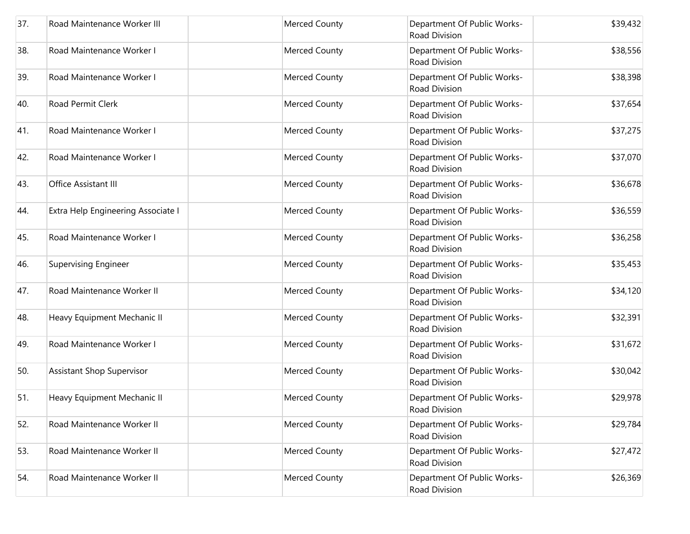| 37. | Road Maintenance Worker III        | Merced County        | Department Of Public Works-<br>Road Division        | \$39,432 |
|-----|------------------------------------|----------------------|-----------------------------------------------------|----------|
| 38. | Road Maintenance Worker I          | Merced County        | Department Of Public Works-<br>Road Division        | \$38,556 |
| 39. | Road Maintenance Worker I          | Merced County        | Department Of Public Works-<br>Road Division        | \$38,398 |
| 40. | Road Permit Clerk                  | Merced County        | Department Of Public Works-<br>Road Division        | \$37,654 |
| 41. | Road Maintenance Worker I          | Merced County        | Department Of Public Works-<br>Road Division        | \$37,275 |
| 42. | Road Maintenance Worker I          | Merced County        | Department Of Public Works-<br><b>Road Division</b> | \$37,070 |
| 43. | Office Assistant III               | Merced County        | Department Of Public Works-<br>Road Division        | \$36,678 |
| 44. | Extra Help Engineering Associate I | Merced County        | Department Of Public Works-<br>Road Division        | \$36,559 |
| 45. | Road Maintenance Worker I          | Merced County        | Department Of Public Works-<br>Road Division        | \$36,258 |
| 46. | <b>Supervising Engineer</b>        | Merced County        | Department Of Public Works-<br>Road Division        | \$35,453 |
| 47. | Road Maintenance Worker II         | Merced County        | Department Of Public Works-<br>Road Division        | \$34,120 |
| 48. | Heavy Equipment Mechanic II        | Merced County        | Department Of Public Works-<br>Road Division        | \$32,391 |
| 49. | Road Maintenance Worker I          | Merced County        | Department Of Public Works-<br>Road Division        | \$31,672 |
| 50. | <b>Assistant Shop Supervisor</b>   | Merced County        | Department Of Public Works-<br>Road Division        | \$30,042 |
| 51. | Heavy Equipment Mechanic II        | Merced County        | Department Of Public Works-<br>Road Division        | \$29,978 |
| 52. | Road Maintenance Worker II         | <b>Merced County</b> | Department Of Public Works-<br>Road Division        | \$29,784 |
| 53. | Road Maintenance Worker II         | Merced County        | Department Of Public Works-<br>Road Division        | \$27,472 |
| 54. | Road Maintenance Worker II         | Merced County        | Department Of Public Works-<br>Road Division        | \$26,369 |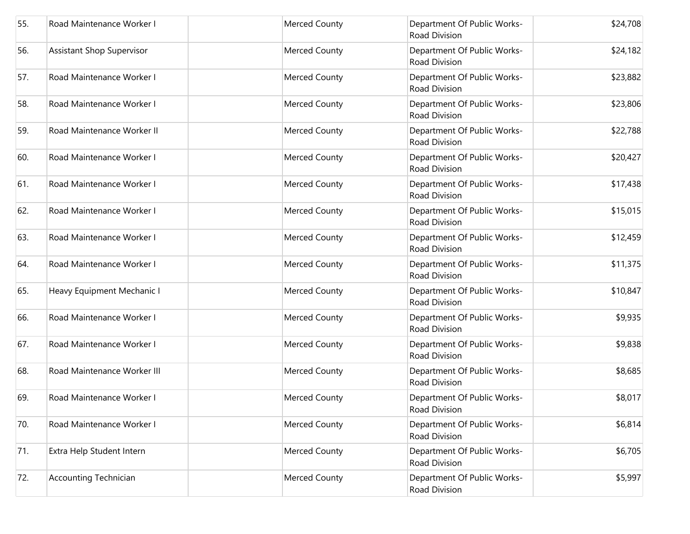| 55. | Road Maintenance Worker I        | Merced County        | Department Of Public Works-<br>Road Division        | \$24,708 |
|-----|----------------------------------|----------------------|-----------------------------------------------------|----------|
| 56. | <b>Assistant Shop Supervisor</b> | Merced County        | Department Of Public Works-<br>Road Division        | \$24,182 |
| 57. | Road Maintenance Worker I        | Merced County        | Department Of Public Works-<br>Road Division        | \$23,882 |
| 58. | Road Maintenance Worker I        | Merced County        | Department Of Public Works-<br>Road Division        | \$23,806 |
| 59. | Road Maintenance Worker II       | Merced County        | Department Of Public Works-<br>Road Division        | \$22,788 |
| 60. | Road Maintenance Worker I        | Merced County        | Department Of Public Works-<br><b>Road Division</b> | \$20,427 |
| 61. | Road Maintenance Worker I        | Merced County        | Department Of Public Works-<br>Road Division        | \$17,438 |
| 62. | Road Maintenance Worker I        | Merced County        | Department Of Public Works-<br>Road Division        | \$15,015 |
| 63. | Road Maintenance Worker I        | Merced County        | Department Of Public Works-<br>Road Division        | \$12,459 |
| 64. | Road Maintenance Worker I        | Merced County        | Department Of Public Works-<br>Road Division        | \$11,375 |
| 65. | Heavy Equipment Mechanic I       | <b>Merced County</b> | Department Of Public Works-<br>Road Division        | \$10,847 |
| 66. | Road Maintenance Worker I        | Merced County        | Department Of Public Works-<br>Road Division        | \$9,935  |
| 67. | Road Maintenance Worker I        | Merced County        | Department Of Public Works-<br>Road Division        | \$9,838  |
| 68. | Road Maintenance Worker III      | Merced County        | Department Of Public Works-<br>Road Division        | \$8,685  |
| 69. | Road Maintenance Worker I        | Merced County        | Department Of Public Works-<br>Road Division        | \$8,017  |
| 70. | Road Maintenance Worker I        | Merced County        | Department Of Public Works-<br><b>Road Division</b> | \$6,814  |
| 71. | Extra Help Student Intern        | Merced County        | Department Of Public Works-<br><b>Road Division</b> | \$6,705  |
| 72. | <b>Accounting Technician</b>     | Merced County        | Department Of Public Works-<br>Road Division        | \$5,997  |